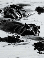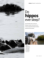*Zambia Readers' overland trip*

# Do **hippos** ever sleep?

Jazz Kuschke and a convoy of *Getaway* readers returned from an 18-day overland trip through northern Zambia with the answer.



ABOVE: terfic faciam diis ineque conscer ine fac rem imperfeconum nonduciorum conum publiquam. LEFT: terfic conscer ine fac audet gravess sicasdam. Castina vigna, rudemus.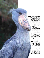### Hippos. Yes, we'll get to them,

but let's start with another, much less abundant, equally prehistoric-looking creature that also calls Zambia home. It's a water bird that resembles a dodo, is distantly related to the peli can, yet is usually classed with the storks. It's cobalt blue, stands more than a metre tall, walks like a judge and spends most of its time motion less next to water waiting for fish to swim by.

Beyond strange, really, and, to round off the caricature, it uses an ungainly, very bulkylooking bill to catch those poor fish. Some ornithologist with a sense of humour named it the shoebill (*Balaeniceps rex*, also known as the whalehead).

According to some reports, there are less than 15000 left in the wild – victims of the usual suspects: habi tat destruction and hunting for the pot. Today, most are concentrated in Sudan, but a significant population holds out in the swampy papyrus marshes of the Bangweulu wet lands in northern Zambia.

That's where we were, hushed but thrilled as we snapped photos of a very rare blue blur among the green reeds about 70 metres away. I couldn't help feeling as though I'd stepped into a chap ter of the late, great Douglas Adams's book, *Last Chance to See*. In this ironic travel master piece, Adams (famous for *The Hitchhiker's Guide to the Galaxy*) comically detailed his misadven tures in search of the world's most

**4 March 2009 getaway**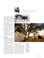

*'Seven days into a three-week Zambian expedition, we'd travelled about 2 500 kilometres and these strange birds were just another tick.'*



endangered animals. Nearly every trip turns into an epic and the animal becomes almost an afterthought. Usually, he ended up just as our little crew was – soaked and smelly, kneedeep in a leech-invested bog, but lucky enough to see a species on the brink of extinction.

Comparatively speaking, the Bangweulu shoebills are easy to see. During the season (late May to early August), it usually doesn't take more than an hour's boat ride, plus another hour or three's swamp-slog from Shoebill Island Camp to find them. Birders from all over the globe flock there to do just that.

Seven days into a three-week Zambian expedition, we'd travelled about 2 500 kilometres and these strange birds were just another tick (albeit a big one) on our itinerary.

#### **The long road**

A week previously, we'd assembled in Livingstone on the Zambezi River. A crew of 11: five very well-kitted *Getaway* readers' 4x4s; guides Chris and Karen Schlimper from Navigators Four-Wheel-Drive Adventures and me, the tag-along-cum-scribe-andtaker-of-pictures.

Talk by the campfire that first night revolved around trips travelled and the merits of particular vehicle set-ups. A sentiment that was to be echoed throughout the journey was, 'Of course, what we're doing is accessible to anyone with a 4x4, camping gear and plenty of time. But going with a guide on a carefully planned, itinerised trip takes so much of the

stress out of it. Just makes the whole thing much simpler.'

Chris knows the area, knows what to expect of the roads (quite simply: the worst), the campsites and where to get fuel and supplies. But, and probably crucial to the success of a guided-convoy tour, Chris was a traveller before he became a guide, so he knows that besides the proverbial getting there – the adventure of overland travelling, driving 4x4

TOP: terfic faciam diis ineque conscer dam. Castina diis ineque conscer duciorum conum publiquam. ABOVE: terfic faciam diis ineque conscer audet gravess conum publiquam. OPPOSITE: terfic faciam diis ineque conscer ine fac rem conum publiquam.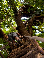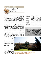## Personal highlights

![](_page_5_Picture_1.jpeg)

*Searching for the shoebill. Seeing both North and South Luangwa National Parks. The hippos (of course).*

tracks and bad roads – it's the special sights along the way that are most important.

Such as seeing the magnificent, rare shoebill. Or coming in (very) close contact with elephants while on foot in Kasanka National Park. Or spending three unforgettable (and what most of the crew would no doubt refer to as spa) days soaking in the hot springs at Kapishya.

Imagine 35ºC sulpher-free water bubbling from deep within the earth to form a swimming pool-sized piece of heaven hugged by lush riverine greenery. Or wandering the halls of Sir Steward Gore-Brown's manor house at Shiwa Ng'andu (lake of the royal crocodiles), considering how beautiful (and wild) that part of Zambia must've been in the 1920s when this Brit first fell in love with the area while on an assignment for the Anglo-Belgian Congo Boundary Commission.

Chris knows that the quality of the places where you pitch your tent is pretty damn critical to keeping up group morale. Such as camping at spectacular Lake Waka Waka (no crocs, no hippos, no bilharzia) or next to the Luangwa River – the river of hippos.

#### **Insomniac hippos**

Which brings me back to the hippos. We've all seen *Hippopotamus amphibius*: those near-rectangular pieces of flab with pink underbellies, massive nostrils and even bigger teeth which spend most of their time in the water. They only venture onto land to graze (usually at night), where they can carry their half-tonne frames at up to

40 kilometres an hour. Even though they're herbivores, they're highly unpredictable and feared by many for the fact that (barring the malariacarrying anopheles mosquito) they're responsible for more deaths in Africa than any other mammal. All this you know, but have you any idea how it feels to have a hippopotamus choir travel with you?

They joined the trip at Pontoon Camp in the 390-square-kilometre Kasanka National Park. As the name suggests, we were camped near water and, wherever there's water in Zambia, you're likely to find hippos. We didn't see them that night, but sitting round the cooking fire, their snorts, grunts and nasal *huh-huh-huh-huhs*  dominated the night air. We tried to estimate how close they were – sound travels at night and hippo sound really travels. But unless you've

OPPOSITE: terfic faciam diis ineque conscer ine fac rem sicasdam. Castina duciorum conum publiquam. BELOW: terfic faciam diis ineque sicasdam. conum publiquam. **BOTTOM:** terfic faciam sicasdam diis ineque conscer sicasdam ine fac rem audet gravess imperfeconum.

actually laid eyes on the animal, you can never be too sure.

The following morning, some of the crew grumbled about not having had much sleep because, well, neither had the hippos. They had to have slept, surely? But even Richard Estes's bush bible, *The Safari Companion* makes no direct mention of it, so you've got to wonder.

Their routine seemed to consist of day-long grunt-and-snort socialising

![](_page_5_Picture_15.jpeg)

![](_page_5_Picture_16.jpeg)

*Commolor perat. Dunt lore veraesectem dolum dip eu feugiam cndiam In vullam, consenissis num alit lam dolobor*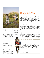![](_page_6_Picture_0.jpeg)

sessions, which, you'd think, would build up an appetite, forcing them into the bush at night to fill those bellies. But some stay behind in the water and keep *huh-huh-huhing* and blowing bubbles and, when those that did go off chomping come back, they have a pre-dawn welcoming party. Which, of course, involves much grunting and guffawing.

When they do eventually settle into some sort of resting mode (this seems to be in a rotation system much like the feeding), they rest their chins on each other's backs. Very cute for something that weighs as much as our 4x4.

Everyone slept better after that night and the sounds became an almost ever-present background white noise as the hippos seemed to follow us.

After Kasanka and Bangweulu (they weren't far-off when we found the shoebill), more hippos joined us on the Luangwa River. There they were, a pod about 30 strong, watching as we crossed the precarious

ABOVE: terfic faciam diis ineque conscer ine fac rem imperfeconum nonsicasdam. OPPOSITE: Castina vigna, rudemus duciorum conum duciorum conum

publiquam.

*One night, we heard two bulls in a roaring tussle. If it weren't for our spotlight, we'd have mistken them for lions*

wooden bridge over the river to Chifunda Community Campsite on the southeastern edge of North Luangwa National Park. They seemed to grunt comments on our driving skills or the state of the bridge – which wasn't much more than lashed-together mopani logs.

At Chifunda, they were never far. As we lounged in camp chairs under the towering river trees, our eyes would trace their feeding paths from the shrubbery, across the sandbanks to the river – small, well-travelled Jeep-like tracks complete with middelmannetjies. One night, we heard two bulls in a roaring tussle. If it wasn't for our spotlight, we'd have mistaken them for lions.

A drive along the river the following day revealed the cause of their fight: territory. There are so many hippos in that stretch that the dominant males have to battle constantly for their piece of water and 30-odd cows.

We made our way south through cathedral mopani woodland buzzed by tsetse fly. At Luangwa Wilderness Lodge in Luambe National Park (a beautiful little piece of wilderness sandwiched between, and to the east of, North and South Luangwa National Parks), the rangers told us that the 70-plus animals lounging in the river immediately in front of the lodge swells to over 200 in the dry season, as it's one of the only pools still carrying sufficient water.

That afternoon, the sky was burned to a deep amber as the smoke of a far away bush fire filtered the sunset. Cameras big and small came out and memorable images were made. If not the climax, then it definitely epitomised the trip.

Three days and many dusty kilometres further south at Flatdogs

## lotes from the crew

I found the language quaint, as in helon spotting. 'That is the leed colmolant' our guide pointed out while poling the boat through the shallow canals of the Bangweulu marshland. 'It rikes to sit on the leeds whilst spleading its wings for the sun to dly.' The transposition of 'r' and 'l' is common in Zambia (as in central Africa) and you need to pay close attention when listening to your guide. But don't answer him in the same way, or he'll gaze at you with a complete lack of comprehension when you respond: 'Oh my, is that a brack helon ovelthele?' – *Hartwig von Durckheim, Hartbeespoort.*

The border into Zambia at Kazangula was disappointing. What a pity the charges to cross it are in the vacinity of R1000. Hopefully the powers that be will soon realise they're not making entry into Zambia a financially attractive prospect.' – *John and Sally Cloran, Kloof.*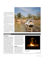![](_page_7_Picture_0.jpeg)

#### Camp on the edge of South Luangwa, it was time to say our goodbyes as this was where the convoy split up and people made their respective ways home.

After so many days in the bush, it was a bit of a shock to be in a lodge environment again – crowds, a bar, a pool, satellite television. And yes, the hippos were there too. In fact, they're so prolific in the area that wooden platforms had to be built in the trees so tents could be pitched out of their way.

These funky platforms were all taken, so we were forced to camp on the ground. If I was disappointed at the time, then I'm glad now. If we hadn't, I'd never have had the pleasure of a hungry hippo rub against my canvas on its grazing route sometime around 03h00 that morning. Do they sleep? Not a chance!

# footnotes

#### **About the trip**

*Getaway* went on a guided self-drive tour with Navigators Four-Wheel-Drive Adventures through northern Zambia. This 18-day trip starts in Kasane and ends at Mfuwe near South Luangwa. The basic itinerary looks like this: day one and two: Kasane, Botswana, to Lusaka, with time allocated for shopping for supplies. Day three: Lusaka to Mkushi River area. Day four: to Kasanka National Park, with a detour to Kundalila Falls en route. Day five and six: in Kasanka National Park, with organised activities, including a guided nature walk and canoe trip. Day seven and eight: at Lake Waka Waka, with a detour to the Livingstone memorial en route. Day nine, 10 and 11: at Shoebill Island, including a guided expedition to find the shoebill stork. Day 12 and 13: at Kapishya Hot Springs, travelling

through Lavushi Manda National Park en route. Day 14: guided tour of Shiwa Ng'andu House in the morning, then to Natwange Community Camp on the western edge of North Luangwa. Day 15: relaxed game-drive through North Luangwa and across the Luangwa River to Chifunda Community Camp on the eastern fringe of the Park. Days 16 and 17: Luambe National Park for two nights. Day 18: through the Nsefu Sector of South Luangwa to Flatdogs Camp.

#### **Highlights**

Kasanka National Park encompasses a wide range of habitats, including miombo woodland, riparian fringe and swamp forest, dambos (swampy wetlands), plains, lakes and rivers. The birdlife is always rewarding, with specials including Pel's fishing owl, Böhms bee-eater and Ross's turaco.

![](_page_7_Picture_10.jpeg)

erfic faciam diis ineque conscer ine num nonsiscer ine num con.

 $\Box$  continued overleaf